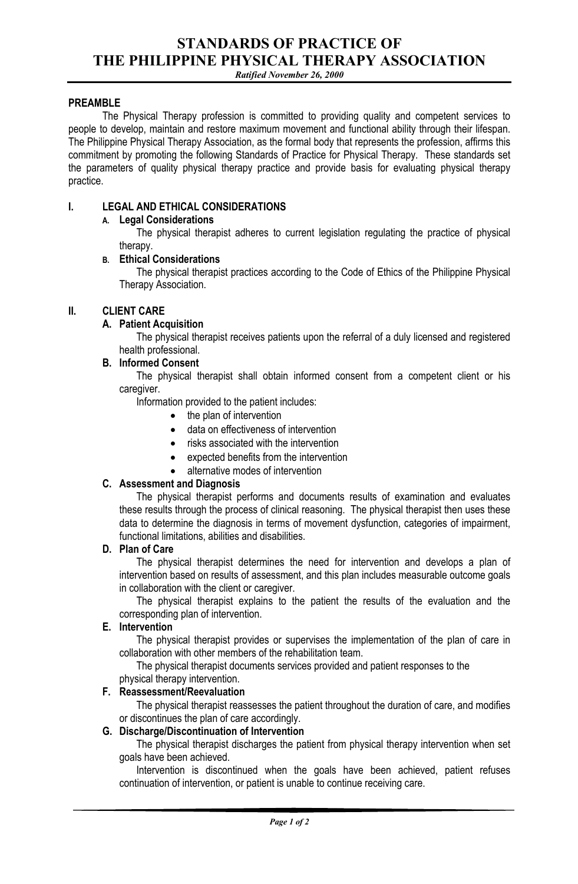# **STANDARDS OF PRACTICE OF THE PHILIPPINE PHYSICAL THERAPY ASSOCIATION**

*Ratified November 26, 2000*

#### **PREAMBLE**

The Physical Therapy profession is committed to providing quality and competent services to people to develop, maintain and restore maximum movement and functional ability through their lifespan. The Philippine Physical Therapy Association, as the formal body that represents the profession, affirms this commitment by promoting the following Standards of Practice for Physical Therapy. These standards set the parameters of quality physical therapy practice and provide basis for evaluating physical therapy practice.

# **I. LEGAL AND ETHICAL CONSIDERATIONS**

# **A. Legal Considerations**

The physical therapist adheres to current legislation regulating the practice of physical therapy.

# **B. Ethical Considerations**

The physical therapist practices according to the Code of Ethics of the Philippine Physical Therapy Association.

### **II. CLIENT CARE**

### **A. Patient Acquisition**

The physical therapist receives patients upon the referral of a duly licensed and registered health professional.

#### **B. Informed Consent**

The physical therapist shall obtain informed consent from a competent client or his caregiver.

Information provided to the patient includes:

- the plan of intervention
- data on effectiveness of intervention
- risks associated with the intervention
- expected benefits from the intervention
- alternative modes of intervention

#### **C. Assessment and Diagnosis**

The physical therapist performs and documents results of examination and evaluates these results through the process of clinical reasoning. The physical therapist then uses these data to determine the diagnosis in terms of movement dysfunction, categories of impairment, functional limitations, abilities and disabilities.

### **D. Plan of Care**

The physical therapist determines the need for intervention and develops a plan of intervention based on results of assessment, and this plan includes measurable outcome goals in collaboration with the client or caregiver.

The physical therapist explains to the patient the results of the evaluation and the corresponding plan of intervention.

#### **E. Intervention**

The physical therapist provides or supervises the implementation of the plan of care in collaboration with other members of the rehabilitation team.

The physical therapist documents services provided and patient responses to the

#### physical therapy intervention. **F. Reassessment/Reevaluation**

The physical therapist reassesses the patient throughout the duration of care, and modifies or discontinues the plan of care accordingly.

#### **G. Discharge/Discontinuation of Intervention**

The physical therapist discharges the patient from physical therapy intervention when set goals have been achieved.

Intervention is discontinued when the goals have been achieved, patient refuses continuation of intervention, or patient is unable to continue receiving care.